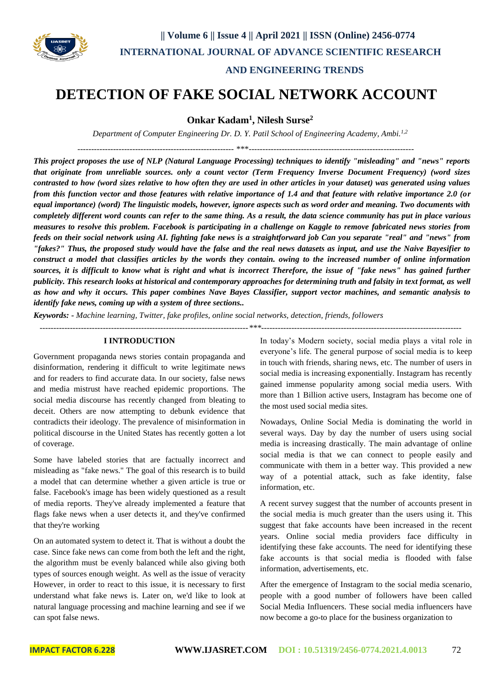

# **AND ENGINEERING TRENDS**

# **DETECTION OF FAKE SOCIAL NETWORK ACCOUNT**

**Onkar Kadam<sup>1</sup> , Nilesh Surse<sup>2</sup>**

*Department of Computer Engineering Dr. D. Y. Patil School of Engineering Academy, Ambi.1,2*

--------------------------------------------------------- \*\*\*------------------------------------------------------------

*This project proposes the use of NLP (Natural Language Processing) techniques to identify "misleading" and "news" reports that originate from unreliable sources. only a count vector (Term Frequency Inverse Document Frequency) (word sizes contrasted to how (word sizes relative to how often they are used in other articles in your dataset) was generated using values from this function vector and those features with relative importance of 1.4 and that feature with relative importance 2.0 (or equal importance) (word) The linguistic models, however, ignore aspects such as word order and meaning. Two documents with completely different word counts can refer to the same thing. As a result, the data science community has put in place various measures to resolve this problem. Facebook is participating in a challenge on Kaggle to remove fabricated news stories from feeds on their social network using AI. fighting fake news is a straightforward job Can you separate "real" and "news" from "fakes?" Thus, the proposed study would have the false and the real news datasets as input, and use the Naive Bayesifier to construct a model that classifies articles by the words they contain. owing to the increased number of online information sources, it is difficult to know what is right and what is incorrect Therefore, the issue of "fake news" has gained further publicity. This research looks at historical and contemporary approaches for determining truth and falsity in text format, as well as how and why it occurs. This paper combines Nave Bayes Classifier, support vector machines, and semantic analysis to identify fake news, coming up with a system of three sections..*

*Keywords: - Machine learning, Twitter, fake profiles, online social networks, detection, friends, followers*

*----------------------------------------------------------------------------\*\*\*-------------------------------------------------------------------------*

## **I INTRODUCTION**

Government propaganda news stories contain propaganda and disinformation, rendering it difficult to write legitimate news and for readers to find accurate data. In our society, false news and media mistrust have reached epidemic proportions. The social media discourse has recently changed from bleating to deceit. Others are now attempting to debunk evidence that contradicts their ideology. The prevalence of misinformation in political discourse in the United States has recently gotten a lot of coverage.

Some have labeled stories that are factually incorrect and misleading as "fake news." The goal of this research is to build a model that can determine whether a given article is true or false. Facebook's image has been widely questioned as a result of media reports. They've already implemented a feature that flags fake news when a user detects it, and they've confirmed that they're working

On an automated system to detect it. That is without a doubt the case. Since fake news can come from both the left and the right, the algorithm must be evenly balanced while also giving both types of sources enough weight. As well as the issue of veracity However, in order to react to this issue, it is necessary to first understand what fake news is. Later on, we'd like to look at natural language processing and machine learning and see if we can spot false news.

In today's Modern society, social media plays a vital role in everyone's life. The general purpose of social media is to keep in touch with friends, sharing news, etc. The number of users in social media is increasing exponentially. Instagram has recently gained immense popularity among social media users. With more than 1 Billion active users, Instagram has become one of the most used social media sites.

Nowadays, Online Social Media is dominating the world in several ways. Day by day the number of users using social media is increasing drastically. The main advantage of online social media is that we can connect to people easily and communicate with them in a better way. This provided a new way of a potential attack, such as fake identity, false information, etc.

A recent survey suggest that the number of accounts present in the social media is much greater than the users using it. This suggest that fake accounts have been increased in the recent years. Online social media providers face difficulty in identifying these fake accounts. The need for identifying these fake accounts is that social media is flooded with false information, advertisements, etc.

After the emergence of Instagram to the social media scenario, people with a good number of followers have been called Social Media Influencers. These social media influencers have now become a go-to place for the business organization to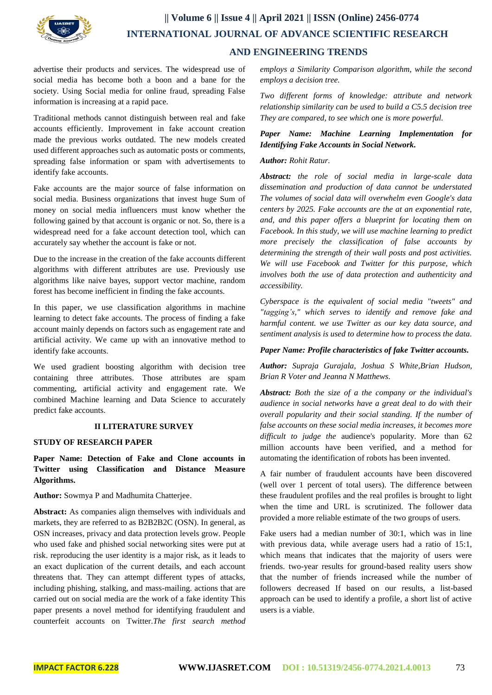

# **|| Volume 6 || Issue 4 || April 2021 || ISSN (Online) 2456-0774 INTERNATIONAL JOURNAL OF ADVANCE SCIENTIFIC RESEARCH AND ENGINEERING TRENDS**

advertise their products and services. The widespread use of social media has become both a boon and a bane for the society. Using Social media for online fraud, spreading False information is increasing at a rapid pace.

Traditional methods cannot distinguish between real and fake accounts efficiently. Improvement in fake account creation made the previous works outdated. The new models created used different approaches such as automatic posts or comments, spreading false information or spam with advertisements to identify fake accounts.

Fake accounts are the major source of false information on social media. Business organizations that invest huge Sum of money on social media influencers must know whether the following gained by that account is organic or not. So, there is a widespread need for a fake account detection tool, which can accurately say whether the account is fake or not.

Due to the increase in the creation of the fake accounts different algorithms with different attributes are use. Previously use algorithms like naive bayes, support vector machine, random forest has become inefficient in finding the fake accounts.

In this paper, we use classification algorithms in machine learning to detect fake accounts. The process of finding a fake account mainly depends on factors such as engagement rate and artificial activity. We came up with an innovative method to identify fake accounts.

We used gradient boosting algorithm with decision tree containing three attributes. Those attributes are spam commenting, artificial activity and engagement rate. We combined Machine learning and Data Science to accurately predict fake accounts.

## **II LITERATURE SURVEY**

### **STUDY OF RESEARCH PAPER**

**Paper Name: Detection of Fake and Clone accounts in Twitter using Classification and Distance Measure Algorithms.**

### **Author:** Sowmya P and Madhumita Chatterjee.

**Abstract:** As companies align themselves with individuals and markets, they are referred to as B2B2B2C (OSN). In general, as OSN increases, privacy and data protection levels grow. People who used fake and phished social networking sites were put at risk. reproducing the user identity is a major risk, as it leads to an exact duplication of the current details, and each account threatens that. They can attempt different types of attacks, including phishing, stalking, and mass-mailing. actions that are carried out on social media are the work of a fake identity This paper presents a novel method for identifying fraudulent and counterfeit accounts on Twitter.*The first search method*  *employs a Similarity Comparison algorithm, while the second employs a decision tree.*

*Two different forms of knowledge: attribute and network relationship similarity can be used to build a C5.5 decision tree They are compared, to see which one is more powerful.*

*Paper Name: Machine Learning Implementation for Identifying Fake Accounts in Social Network.*

### *Author: Rohit Ratur.*

*Abstract: the role of social media in large-scale data dissemination and production of data cannot be understated The volumes of social data will overwhelm even Google's data centers by 2025. Fake accounts are the at an exponential rate, and, and this paper offers a blueprint for locating them on Facebook. In this study, we will use machine learning to predict more precisely the classification of false accounts by determining the strength of their wall posts and post activities. We will use Facebook and Twitter for this purpose, which involves both the use of data protection and authenticity and accessibility.* 

*Cyberspace is the equivalent of social media "tweets" and "tagging's," which serves to identify and remove fake and harmful content. we use Twitter as our key data source, and sentiment analysis is used to determine how to process the data.*

### *Paper Name: Profile characteristics of fake Twitter accounts.*

*Author: Supraja Gurajala, Joshua S White,Brian Hudson, Brian R Voter and Jeanna N Matthews.*

*Abstract: Both the size of a the company or the individual's audience in social networks have a great deal to do with their overall popularity and their social standing. If the number of false accounts on these social media increases, it becomes more difficult to judge the* audience's popularity. More than 62 million accounts have been verified, and a method for automating the identification of robots has been invented.

A fair number of fraudulent accounts have been discovered (well over 1 percent of total users). The difference between these fraudulent profiles and the real profiles is brought to light when the time and URL is scrutinized. The follower data provided a more reliable estimate of the two groups of users.

Fake users had a median number of 30:1, which was in line with previous data, while average users had a ratio of 15:1, which means that indicates that the majority of users were friends. two-year results for ground-based reality users show that the number of friends increased while the number of followers decreased If based on our results, a list-based approach can be used to identify a profile, a short list of active users is a viable.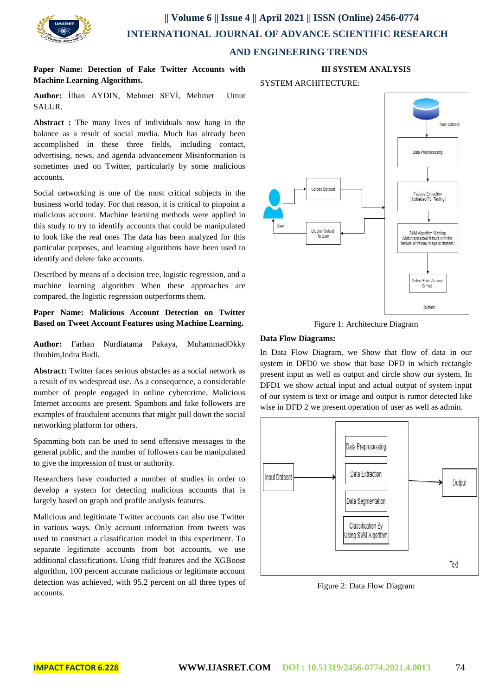

# **|| Volume 6 || Issue 4 || April 2021 || ISSN (Online) 2456-0774 INTERNATIONAL JOURNAL OF ADVANCE SCIENTIFIC RESEARCH**

## **AND ENGINEERING TRENDS**

**Paper Name: Detection of Fake Twitter Accounts with Machine Learning Algorithms.**

**Author:** İlhan AYDIN, Mehmet SEVİ, Mehmet Umut SALUR.

**Abstract :** The many lives of individuals now hang in the balance as a result of social media. Much has already been accomplished in these three fields, including contact, advertising, news, and agenda advancement Misinformation is sometimes used on Twitter, particularly by some malicious accounts.

Social networking is one of the most critical subjects in the business world today. For that reason, it is critical to pinpoint a malicious account. Machine learning methods were applied in this study to try to identify accounts that could be manipulated to look like the real ones The data has been analyzed for this particular purposes, and learning algorithms have been used to identify and delete fake accounts.

Described by means of a decision tree, logistic regression, and a machine learning algorithm When these approaches are compared, the logistic regression outperforms them.

## **Paper Name: Malicious Account Detection on Twitter Based on Tweet Account Features using Machine Learning.**

**Author:** Farhan Nurdiatama Pakaya, MuhammadOkky Ibrohim,Indra Budi.

**Abstract:** Twitter faces serious obstacles as a social network as a result of its widespread use. As a consequence, a considerable number of people engaged in online cybercrime. Malicious Internet accounts are present. Spambots and fake followers are examples of fraudulent accounts that might pull down the social networking platform for others.

Spamming bots can be used to send offensive messages to the general public, and the number of followers can be manipulated to give the impression of trust or authority.

Researchers have conducted a number of studies in order to develop a system for detecting malicious accounts that is largely based on graph and profile analysis features.

Malicious and legitimate Twitter accounts can also use Twitter in various ways. Only account information from tweets was used to construct a classification model in this experiment. To separate legitimate accounts from bot accounts, we use additional classifications. Using tfidf features and the XGBoost algorithm, 100 percent accurate malicious or legitimate account detection was achieved, with 95.2 percent on all three types of accounts.



## SYSTEM ARCHITECTURE:



Figure 1: Architecture Diagram

## **Data Flow Diagrams:**

In Data Flow Diagram, we Show that flow of data in our system in DFD0 we show that base DFD in which rectangle present input as well as output and circle show our system, In DFD1 we show actual input and actual output of system input of our system is text or image and output is rumor detected like wise in DFD 2 we present operation of user as well as admin.



Figure 2: Data Flow Diagram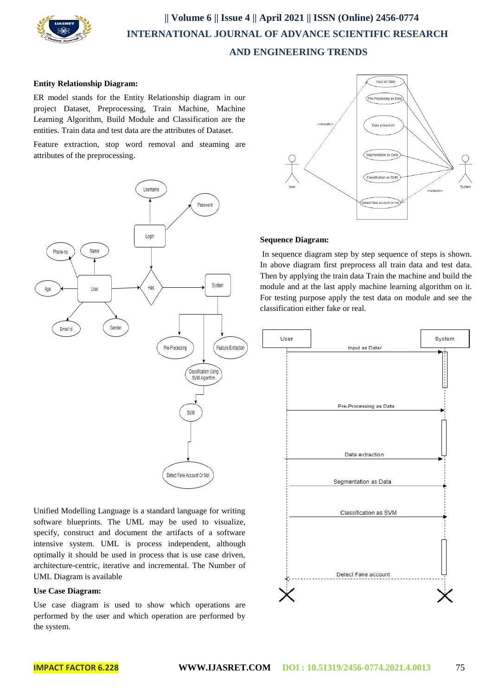

# **|| Volume 6 || Issue 4 || April 2021 || ISSN (Online) 2456-0774 INTERNATIONAL JOURNAL OF ADVANCE SCIENTIFIC RESEARCH AND ENGINEERING TRENDS**

#### **Entity Relationship Diagram:**

ER model stands for the Entity Relationship diagram in our project Dataset, Preprocessing, Train Machine, Machine Learning Algorithm, Build Module and Classification are the entities. Train data and test data are the attributes of Dataset.

Feature extraction, stop word removal and steaming are attributes of the preprocessing.



Unified Modelling Language is a standard language for writing software blueprints. The UML may be used to visualize, specify, construct and document the artifacts of a software intensive system. UML is process independent, although optimally it should be used in process that is use case driven, architecture-centric, iterative and incremental. The Number of UML Diagram is available

## **Use Case Diagram:**

Use case diagram is used to show which operations are performed by the user and which operation are performed by the system.



### **Sequence Diagram:**

In sequence diagram step by step sequence of steps is shown. In above diagram first preprocess all train data and test data. Then by applying the train data Train the machine and build the module and at the last apply machine learning algorithm on it. For testing purpose apply the test data on module and see the classification either fake or real.

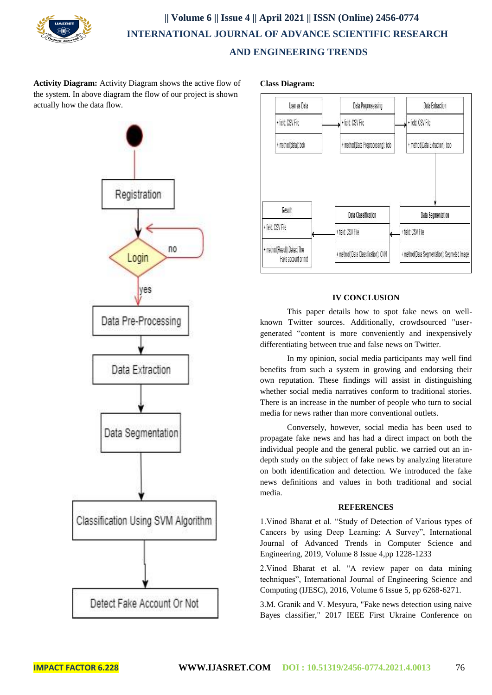

# **|| Volume 6 || Issue 4 || April 2021 || ISSN (Online) 2456-0774 INTERNATIONAL JOURNAL OF ADVANCE SCIENTIFIC RESEARCH AND ENGINEERING TRENDS**

**Activity Diagram:** Activity Diagram shows the active flow of the system. In above diagram the flow of our project is shown actually how the data flow.



**Class Diagram:** 



## **IV CONCLUSION**

 This paper details how to spot fake news on wellknown Twitter sources. Additionally, crowdsourced "usergenerated "content is more conveniently and inexpensively differentiating between true and false news on Twitter.

 In my opinion, social media participants may well find benefits from such a system in growing and endorsing their own reputation. These findings will assist in distinguishing whether social media narratives conform to traditional stories. There is an increase in the number of people who turn to social media for news rather than more conventional outlets.

 Conversely, however, social media has been used to propagate fake news and has had a direct impact on both the individual people and the general public. we carried out an indepth study on the subject of fake news by analyzing literature on both identification and detection. We introduced the fake news definitions and values in both traditional and social media.

### **REFERENCES**

1.Vinod Bharat et al. "Study of Detection of Various types of Cancers by using Deep Learning: A Survey", International Journal of Advanced Trends in Computer Science and Engineering, 2019, Volume 8 Issue 4,pp 1228-1233

2.Vinod Bharat et al. "A review paper on data mining techniques", International Journal of Engineering Science and Computing (IJESC), 2016, Volume 6 Issue 5, pp 6268-6271.

3.M. Granik and V. Mesyura, "Fake news detection using naive Bayes classifier," 2017 IEEE First Ukraine Conference on